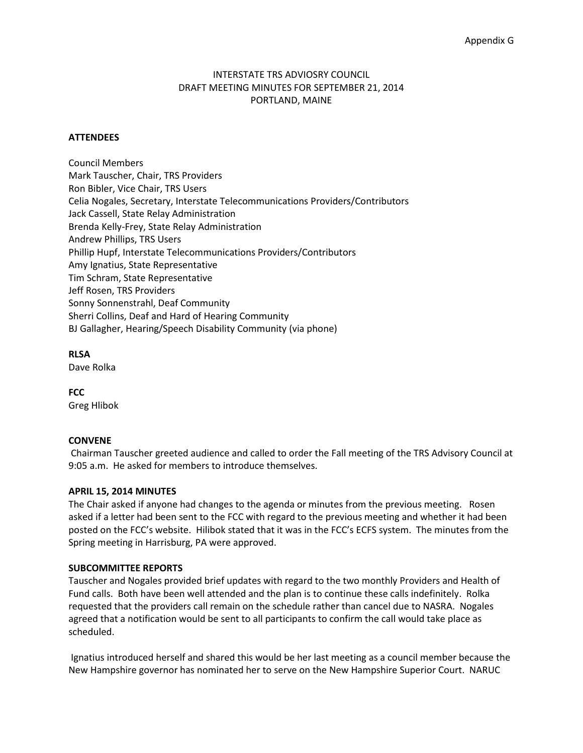# INTERSTATE TRS ADVIOSRY COUNCIL DRAFT MEETING MINUTES FOR SEPTEMBER 21, 2014 PORTLAND, MAINE

### **ATTENDEES**

Council Members Mark Tauscher, Chair, TRS Providers Ron Bibler, Vice Chair, TRS Users Celia Nogales, Secretary, Interstate Telecommunications Providers/Contributors Jack Cassell, State Relay Administration Brenda Kelly-Frey, State Relay Administration Andrew Phillips, TRS Users Phillip Hupf, Interstate Telecommunications Providers/Contributors Amy Ignatius, State Representative Tim Schram, State Representative Jeff Rosen, TRS Providers Sonny Sonnenstrahl, Deaf Community Sherri Collins, Deaf and Hard of Hearing Community BJ Gallagher, Hearing/Speech Disability Community (via phone)

### **RLSA**

Dave Rolka

**FCC** Greg Hlibok

# **CONVENE**

Chairman Tauscher greeted audience and called to order the Fall meeting of the TRS Advisory Council at 9:05 a.m. He asked for members to introduce themselves.

### **APRIL 15, 2014 MINUTES**

The Chair asked if anyone had changes to the agenda or minutes from the previous meeting. Rosen asked if a letter had been sent to the FCC with regard to the previous meeting and whether it had been posted on the FCC's website. Hilibok stated that it was in the FCC's ECFS system. The minutes from the Spring meeting in Harrisburg, PA were approved.

### **SUBCOMMITTEE REPORTS**

Tauscher and Nogales provided brief updates with regard to the two monthly Providers and Health of Fund calls. Both have been well attended and the plan is to continue these calls indefinitely. Rolka requested that the providers call remain on the schedule rather than cancel due to NASRA. Nogales agreed that a notification would be sent to all participants to confirm the call would take place as scheduled.

Ignatius introduced herself and shared this would be her last meeting as a council member because the New Hampshire governor has nominated her to serve on the New Hampshire Superior Court. NARUC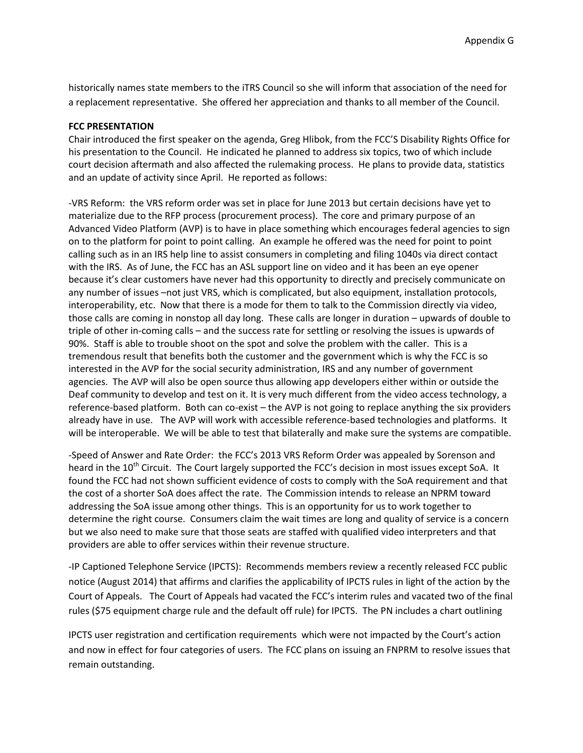historically names state members to the iTRS Council so she will inform that association of the need for a replacement representative. She offered her appreciation and thanks to all member of the Council.

### **FCC PRESENTATION**

Chair introduced the first speaker on the agenda, Greg Hlibok, from the FCC'S Disability Rights Office for his presentation to the Council. He indicated he planned to address six topics, two of which include court decision aftermath and also affected the rulemaking process. He plans to provide data, statistics and an update of activity since April. He reported as follows:

-VRS Reform: the VRS reform order was set in place for June 2013 but certain decisions have yet to materialize due to the RFP process (procurement process). The core and primary purpose of an Advanced Video Platform (AVP) is to have in place something which encourages federal agencies to sign on to the platform for point to point calling. An example he offered was the need for point to point calling such as in an IRS help line to assist consumers in completing and filing 1040s via direct contact with the IRS. As of June, the FCC has an ASL support line on video and it has been an eye opener because it's clear customers have never had this opportunity to directly and precisely communicate on any number of issues –not just VRS, which is complicated, but also equipment, installation protocols, interoperability, etc. Now that there is a mode for them to talk to the Commission directly via video, those calls are coming in nonstop all day long. These calls are longer in duration – upwards of double to triple of other in-coming calls – and the success rate for settling or resolving the issues is upwards of 90%. Staff is able to trouble shoot on the spot and solve the problem with the caller. This is a tremendous result that benefits both the customer and the government which is why the FCC is so interested in the AVP for the social security administration, IRS and any number of government agencies. The AVP will also be open source thus allowing app developers either within or outside the Deaf community to develop and test on it. It is very much different from the video access technology, a reference-based platform. Both can co-exist – the AVP is not going to replace anything the six providers already have in use. The AVP will work with accessible reference-based technologies and platforms. It will be interoperable. We will be able to test that bilaterally and make sure the systems are compatible.

-Speed of Answer and Rate Order: the FCC's 2013 VRS Reform Order was appealed by Sorenson and heard in the  $10<sup>th</sup>$  Circuit. The Court largely supported the FCC's decision in most issues except SoA. It found the FCC had not shown sufficient evidence of costs to comply with the SoA requirement and that the cost of a shorter SoA does affect the rate. The Commission intends to release an NPRM toward addressing the SoA issue among other things. This is an opportunity for us to work together to determine the right course. Consumers claim the wait times are long and quality of service is a concern but we also need to make sure that those seats are staffed with qualified video interpreters and that providers are able to offer services within their revenue structure.

-IP Captioned Telephone Service (IPCTS): Recommends members review a recently released FCC public notice (August 2014) that affirms and clarifies the applicability of IPCTS rules in light of the action by the Court of Appeals. The Court of Appeals had vacated the FCC's interim rules and vacated two of the final rules (\$75 equipment charge rule and the default off rule) for IPCTS. The PN includes a chart outlining

IPCTS user registration and certification requirements which were not impacted by the Court's action and now in effect for four categories of users. The FCC plans on issuing an FNPRM to resolve issues that remain outstanding.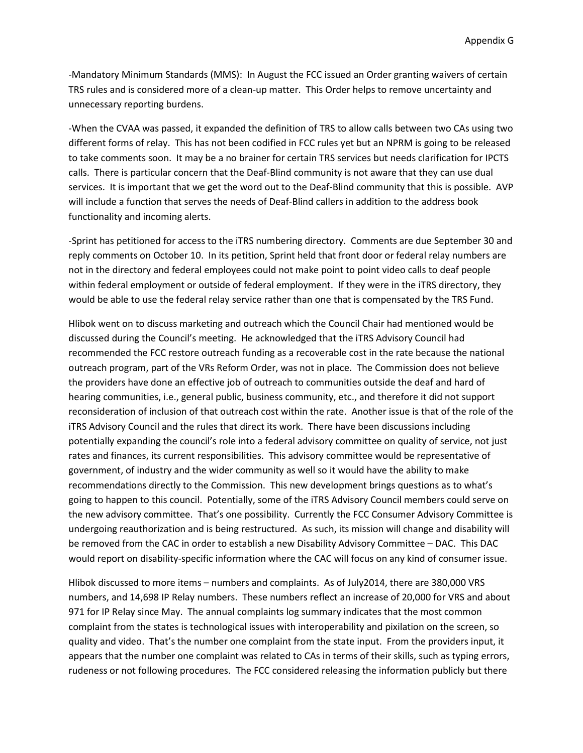-Mandatory Minimum Standards (MMS): In August the FCC issued an Order granting waivers of certain TRS rules and is considered more of a clean-up matter. This Order helps to remove uncertainty and unnecessary reporting burdens.

-When the CVAA was passed, it expanded the definition of TRS to allow calls between two CAs using two different forms of relay. This has not been codified in FCC rules yet but an NPRM is going to be released to take comments soon. It may be a no brainer for certain TRS services but needs clarification for IPCTS calls. There is particular concern that the Deaf-Blind community is not aware that they can use dual services. It is important that we get the word out to the Deaf-Blind community that this is possible. AVP will include a function that serves the needs of Deaf-Blind callers in addition to the address book functionality and incoming alerts.

-Sprint has petitioned for access to the iTRS numbering directory. Comments are due September 30 and reply comments on October 10. In its petition, Sprint held that front door or federal relay numbers are not in the directory and federal employees could not make point to point video calls to deaf people within federal employment or outside of federal employment. If they were in the iTRS directory, they would be able to use the federal relay service rather than one that is compensated by the TRS Fund.

Hlibok went on to discuss marketing and outreach which the Council Chair had mentioned would be discussed during the Council's meeting. He acknowledged that the iTRS Advisory Council had recommended the FCC restore outreach funding as a recoverable cost in the rate because the national outreach program, part of the VRs Reform Order, was not in place. The Commission does not believe the providers have done an effective job of outreach to communities outside the deaf and hard of hearing communities, i.e., general public, business community, etc., and therefore it did not support reconsideration of inclusion of that outreach cost within the rate. Another issue is that of the role of the iTRS Advisory Council and the rules that direct its work. There have been discussions including potentially expanding the council's role into a federal advisory committee on quality of service, not just rates and finances, its current responsibilities. This advisory committee would be representative of government, of industry and the wider community as well so it would have the ability to make recommendations directly to the Commission. This new development brings questions as to what's going to happen to this council. Potentially, some of the iTRS Advisory Council members could serve on the new advisory committee. That's one possibility. Currently the FCC Consumer Advisory Committee is undergoing reauthorization and is being restructured. As such, its mission will change and disability will be removed from the CAC in order to establish a new Disability Advisory Committee – DAC. This DAC would report on disability-specific information where the CAC will focus on any kind of consumer issue.

Hlibok discussed to more items – numbers and complaints. As of July2014, there are 380,000 VRS numbers, and 14,698 IP Relay numbers. These numbers reflect an increase of 20,000 for VRS and about 971 for IP Relay since May. The annual complaints log summary indicates that the most common complaint from the states is technological issues with interoperability and pixilation on the screen, so quality and video. That's the number one complaint from the state input. From the providers input, it appears that the number one complaint was related to CAs in terms of their skills, such as typing errors, rudeness or not following procedures. The FCC considered releasing the information publicly but there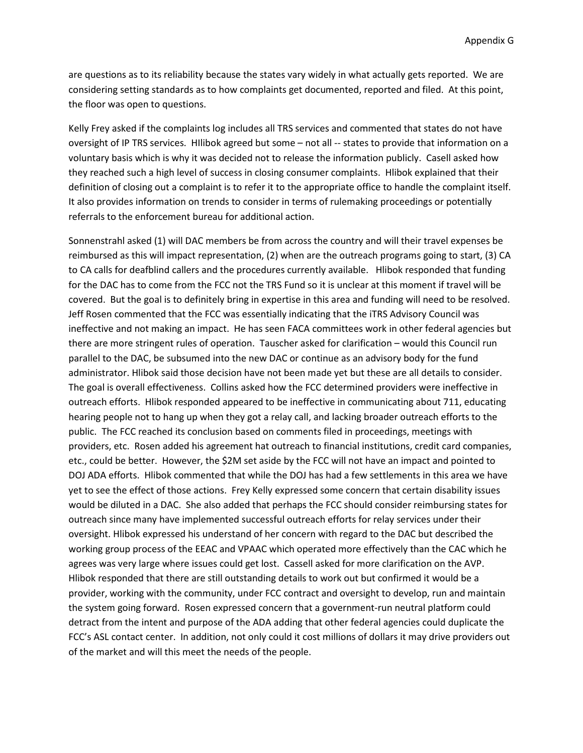are questions as to its reliability because the states vary widely in what actually gets reported. We are considering setting standards as to how complaints get documented, reported and filed. At this point, the floor was open to questions.

Kelly Frey asked if the complaints log includes all TRS services and commented that states do not have oversight of IP TRS services. HIlibok agreed but some – not all -- states to provide that information on a voluntary basis which is why it was decided not to release the information publicly. Casell asked how they reached such a high level of success in closing consumer complaints. Hlibok explained that their definition of closing out a complaint is to refer it to the appropriate office to handle the complaint itself. It also provides information on trends to consider in terms of rulemaking proceedings or potentially referrals to the enforcement bureau for additional action.

Sonnenstrahl asked (1) will DAC members be from across the country and will their travel expenses be reimbursed as this will impact representation, (2) when are the outreach programs going to start, (3) CA to CA calls for deafblind callers and the procedures currently available. Hlibok responded that funding for the DAC has to come from the FCC not the TRS Fund so it is unclear at this moment if travel will be covered. But the goal is to definitely bring in expertise in this area and funding will need to be resolved. Jeff Rosen commented that the FCC was essentially indicating that the iTRS Advisory Council was ineffective and not making an impact. He has seen FACA committees work in other federal agencies but there are more stringent rules of operation. Tauscher asked for clarification – would this Council run parallel to the DAC, be subsumed into the new DAC or continue as an advisory body for the fund administrator. Hlibok said those decision have not been made yet but these are all details to consider. The goal is overall effectiveness. Collins asked how the FCC determined providers were ineffective in outreach efforts. Hlibok responded appeared to be ineffective in communicating about 711, educating hearing people not to hang up when they got a relay call, and lacking broader outreach efforts to the public. The FCC reached its conclusion based on comments filed in proceedings, meetings with providers, etc. Rosen added his agreement hat outreach to financial institutions, credit card companies, etc., could be better. However, the \$2M set aside by the FCC will not have an impact and pointed to DOJ ADA efforts. Hlibok commented that while the DOJ has had a few settlements in this area we have yet to see the effect of those actions. Frey Kelly expressed some concern that certain disability issues would be diluted in a DAC. She also added that perhaps the FCC should consider reimbursing states for outreach since many have implemented successful outreach efforts for relay services under their oversight. Hlibok expressed his understand of her concern with regard to the DAC but described the working group process of the EEAC and VPAAC which operated more effectively than the CAC which he agrees was very large where issues could get lost. Cassell asked for more clarification on the AVP. Hlibok responded that there are still outstanding details to work out but confirmed it would be a provider, working with the community, under FCC contract and oversight to develop, run and maintain the system going forward. Rosen expressed concern that a government-run neutral platform could detract from the intent and purpose of the ADA adding that other federal agencies could duplicate the FCC's ASL contact center. In addition, not only could it cost millions of dollars it may drive providers out of the market and will this meet the needs of the people.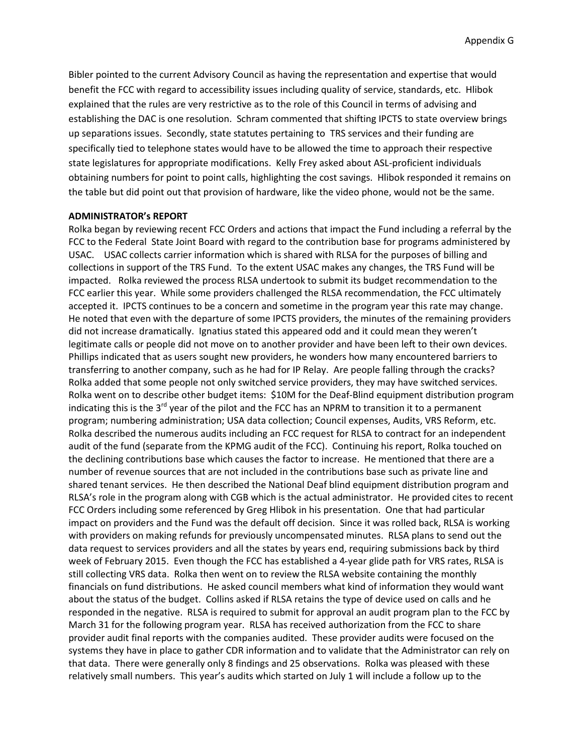Bibler pointed to the current Advisory Council as having the representation and expertise that would benefit the FCC with regard to accessibility issues including quality of service, standards, etc. Hlibok explained that the rules are very restrictive as to the role of this Council in terms of advising and establishing the DAC is one resolution. Schram commented that shifting IPCTS to state overview brings up separations issues. Secondly, state statutes pertaining to TRS services and their funding are specifically tied to telephone states would have to be allowed the time to approach their respective state legislatures for appropriate modifications. Kelly Frey asked about ASL-proficient individuals obtaining numbers for point to point calls, highlighting the cost savings. Hlibok responded it remains on the table but did point out that provision of hardware, like the video phone, would not be the same.

#### **ADMINISTRATOR's REPORT**

Rolka began by reviewing recent FCC Orders and actions that impact the Fund including a referral by the FCC to the Federal State Joint Board with regard to the contribution base for programs administered by USAC. USAC collects carrier information which is shared with RLSA for the purposes of billing and collections in support of the TRS Fund. To the extent USAC makes any changes, the TRS Fund will be impacted. Rolka reviewed the process RLSA undertook to submit its budget recommendation to the FCC earlier this year. While some providers challenged the RLSA recommendation, the FCC ultimately accepted it. IPCTS continues to be a concern and sometime in the program year this rate may change. He noted that even with the departure of some IPCTS providers, the minutes of the remaining providers did not increase dramatically. Ignatius stated this appeared odd and it could mean they weren't legitimate calls or people did not move on to another provider and have been left to their own devices. Phillips indicated that as users sought new providers, he wonders how many encountered barriers to transferring to another company, such as he had for IP Relay. Are people falling through the cracks? Rolka added that some people not only switched service providers, they may have switched services. Rolka went on to describe other budget items: \$10M for the Deaf-Blind equipment distribution program indicating this is the  $3^{rd}$  year of the pilot and the FCC has an NPRM to transition it to a permanent program; numbering administration; USA data collection; Council expenses, Audits, VRS Reform, etc. Rolka described the numerous audits including an FCC request for RLSA to contract for an independent audit of the fund (separate from the KPMG audit of the FCC). Continuing his report, Rolka touched on the declining contributions base which causes the factor to increase. He mentioned that there are a number of revenue sources that are not included in the contributions base such as private line and shared tenant services. He then described the National Deaf blind equipment distribution program and RLSA's role in the program along with CGB which is the actual administrator. He provided cites to recent FCC Orders including some referenced by Greg Hlibok in his presentation. One that had particular impact on providers and the Fund was the default off decision. Since it was rolled back, RLSA is working with providers on making refunds for previously uncompensated minutes. RLSA plans to send out the data request to services providers and all the states by years end, requiring submissions back by third week of February 2015. Even though the FCC has established a 4-year glide path for VRS rates, RLSA is still collecting VRS data. Rolka then went on to review the RLSA website containing the monthly financials on fund distributions. He asked council members what kind of information they would want about the status of the budget. Collins asked if RLSA retains the type of device used on calls and he responded in the negative. RLSA is required to submit for approval an audit program plan to the FCC by March 31 for the following program year. RLSA has received authorization from the FCC to share provider audit final reports with the companies audited. These provider audits were focused on the systems they have in place to gather CDR information and to validate that the Administrator can rely on that data. There were generally only 8 findings and 25 observations. Rolka was pleased with these relatively small numbers. This year's audits which started on July 1 will include a follow up to the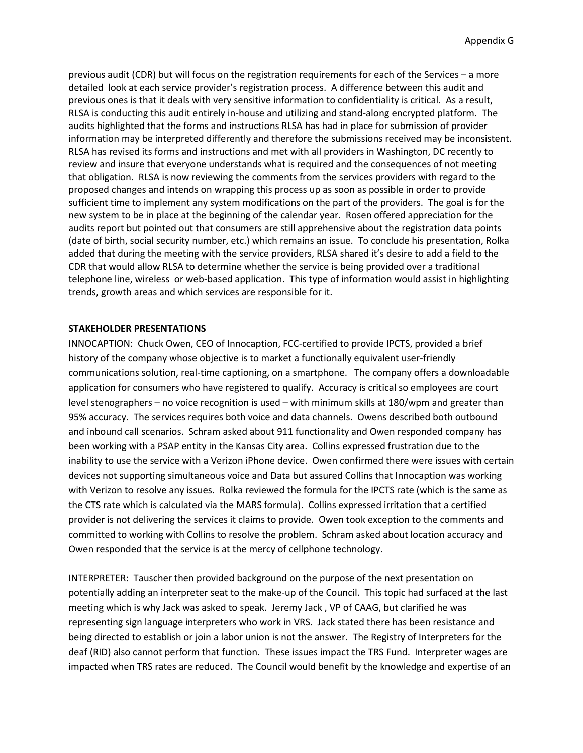previous audit (CDR) but will focus on the registration requirements for each of the Services – a more detailed look at each service provider's registration process. A difference between this audit and previous ones is that it deals with very sensitive information to confidentiality is critical. As a result, RLSA is conducting this audit entirely in-house and utilizing and stand-along encrypted platform. The audits highlighted that the forms and instructions RLSA has had in place for submission of provider information may be interpreted differently and therefore the submissions received may be inconsistent. RLSA has revised its forms and instructions and met with all providers in Washington, DC recently to review and insure that everyone understands what is required and the consequences of not meeting that obligation. RLSA is now reviewing the comments from the services providers with regard to the proposed changes and intends on wrapping this process up as soon as possible in order to provide sufficient time to implement any system modifications on the part of the providers. The goal is for the new system to be in place at the beginning of the calendar year. Rosen offered appreciation for the audits report but pointed out that consumers are still apprehensive about the registration data points (date of birth, social security number, etc.) which remains an issue. To conclude his presentation, Rolka added that during the meeting with the service providers, RLSA shared it's desire to add a field to the CDR that would allow RLSA to determine whether the service is being provided over a traditional telephone line, wireless or web-based application. This type of information would assist in highlighting trends, growth areas and which services are responsible for it.

### **STAKEHOLDER PRESENTATIONS**

INNOCAPTION: Chuck Owen, CEO of Innocaption, FCC-certified to provide IPCTS, provided a brief history of the company whose objective is to market a functionally equivalent user-friendly communications solution, real-time captioning, on a smartphone. The company offers a downloadable application for consumers who have registered to qualify. Accuracy is critical so employees are court level stenographers – no voice recognition is used – with minimum skills at 180/wpm and greater than 95% accuracy. The services requires both voice and data channels. Owens described both outbound and inbound call scenarios. Schram asked about 911 functionality and Owen responded company has been working with a PSAP entity in the Kansas City area. Collins expressed frustration due to the inability to use the service with a Verizon iPhone device. Owen confirmed there were issues with certain devices not supporting simultaneous voice and Data but assured Collins that Innocaption was working with Verizon to resolve any issues. Rolka reviewed the formula for the IPCTS rate (which is the same as the CTS rate which is calculated via the MARS formula). Collins expressed irritation that a certified provider is not delivering the services it claims to provide. Owen took exception to the comments and committed to working with Collins to resolve the problem. Schram asked about location accuracy and Owen responded that the service is at the mercy of cellphone technology.

INTERPRETER:Tauscher then provided background on the purpose of the next presentation on potentially adding an interpreter seat to the make-up of the Council. This topic had surfaced at the last meeting which is why Jack was asked to speak. Jeremy Jack , VP of CAAG, but clarified he was representing sign language interpreters who work in VRS. Jack stated there has been resistance and being directed to establish or join a labor union is not the answer. The Registry of Interpreters for the deaf (RID) also cannot perform that function. These issues impact the TRS Fund. Interpreter wages are impacted when TRS rates are reduced. The Council would benefit by the knowledge and expertise of an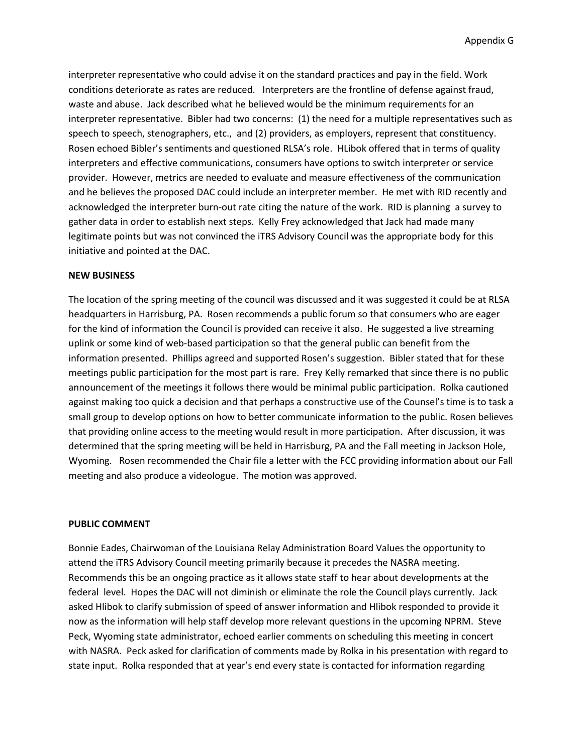interpreter representative who could advise it on the standard practices and pay in the field. Work conditions deteriorate as rates are reduced. Interpreters are the frontline of defense against fraud, waste and abuse. Jack described what he believed would be the minimum requirements for an interpreter representative. Bibler had two concerns: (1) the need for a multiple representatives such as speech to speech, stenographers, etc., and (2) providers, as employers, represent that constituency. Rosen echoed Bibler's sentiments and questioned RLSA's role. HLibok offered that in terms of quality interpreters and effective communications, consumers have options to switch interpreter or service provider. However, metrics are needed to evaluate and measure effectiveness of the communication and he believes the proposed DAC could include an interpreter member. He met with RID recently and acknowledged the interpreter burn-out rate citing the nature of the work. RID is planning a survey to gather data in order to establish next steps. Kelly Frey acknowledged that Jack had made many legitimate points but was not convinced the iTRS Advisory Council was the appropriate body for this initiative and pointed at the DAC.

#### **NEW BUSINESS**

The location of the spring meeting of the council was discussed and it was suggested it could be at RLSA headquarters in Harrisburg, PA. Rosen recommends a public forum so that consumers who are eager for the kind of information the Council is provided can receive it also. He suggested a live streaming uplink or some kind of web-based participation so that the general public can benefit from the information presented. Phillips agreed and supported Rosen's suggestion. Bibler stated that for these meetings public participation for the most part is rare. Frey Kelly remarked that since there is no public announcement of the meetings it follows there would be minimal public participation. Rolka cautioned against making too quick a decision and that perhaps a constructive use of the Counsel's time is to task a small group to develop options on how to better communicate information to the public. Rosen believes that providing online access to the meeting would result in more participation. After discussion, it was determined that the spring meeting will be held in Harrisburg, PA and the Fall meeting in Jackson Hole, Wyoming. Rosen recommended the Chair file a letter with the FCC providing information about our Fall meeting and also produce a videologue. The motion was approved.

#### **PUBLIC COMMENT**

Bonnie Eades, Chairwoman of the Louisiana Relay Administration Board Values the opportunity to attend the iTRS Advisory Council meeting primarily because it precedes the NASRA meeting. Recommends this be an ongoing practice as it allows state staff to hear about developments at the federal level. Hopes the DAC will not diminish or eliminate the role the Council plays currently. Jack asked Hlibok to clarify submission of speed of answer information and Hlibok responded to provide it now as the information will help staff develop more relevant questions in the upcoming NPRM. Steve Peck, Wyoming state administrator, echoed earlier comments on scheduling this meeting in concert with NASRA. Peck asked for clarification of comments made by Rolka in his presentation with regard to state input. Rolka responded that at year's end every state is contacted for information regarding